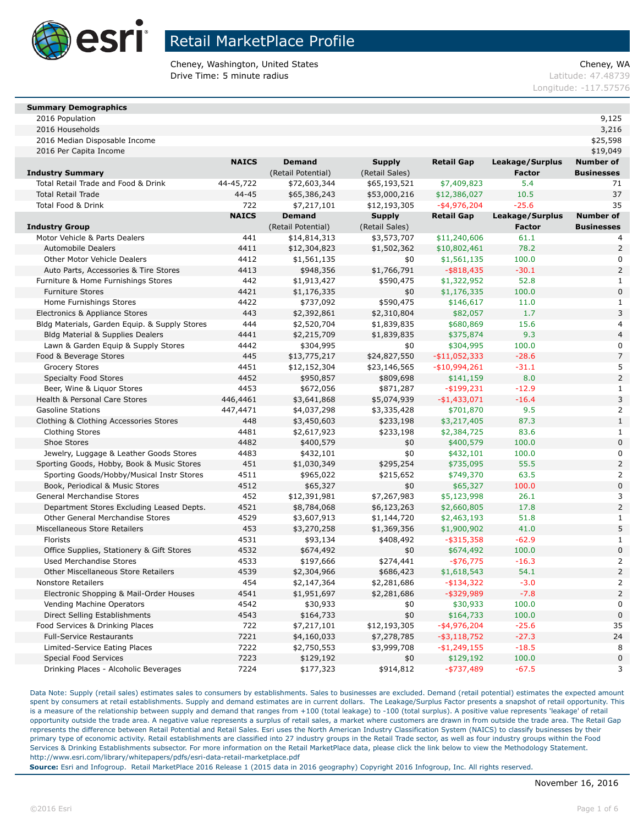

Cheney, Washington, United States Cheney, WA **Drive Time: 5 minute radius Contract Contract Contract Contract Contract Contract Contract Contract Contract Contract Contract Contract Contract Contract Contract Contract Contract Contract Contract Contract Contract Co** 

Longitude: -117.57576

### **Summary Demographics**

2016 Population 9,125

2016 Households 3,216 2016 Median Disposable Income \$25,598

2016 Per Capita Income \$19,049

|                                               | <b>NAICS</b> | <b>Demand</b>      | <b>Supply</b>  | <b>Retail Gap</b> | Leakage/Surplus | <b>Number of</b>  |
|-----------------------------------------------|--------------|--------------------|----------------|-------------------|-----------------|-------------------|
| <b>Industry Summary</b>                       |              | (Retail Potential) | (Retail Sales) |                   | <b>Factor</b>   | <b>Businesses</b> |
| Total Retail Trade and Food & Drink           | 44-45,722    | \$72,603,344       | \$65,193,521   | \$7,409,823       | 5.4             | 71                |
| <b>Total Retail Trade</b>                     | $44 - 45$    | \$65,386,243       | \$53,000,216   | \$12,386,027      | 10.5            | 37                |
| <b>Total Food &amp; Drink</b>                 | 722          | \$7,217,101        | \$12,193,305   | $-$ \$4,976,204   | $-25.6$         | 35                |
|                                               | <b>NAICS</b> | <b>Demand</b>      | <b>Supply</b>  | Retail Gap        | Leakage/Surplus | <b>Number of</b>  |
| <b>Industry Group</b>                         |              | (Retail Potential) | (Retail Sales) |                   | <b>Factor</b>   | <b>Businesses</b> |
| Motor Vehicle & Parts Dealers                 | 441          | \$14,814,313       | \$3,573,707    | \$11,240,606      | 61.1            | 4                 |
| <b>Automobile Dealers</b>                     | 4411         | \$12,304,823       | \$1,502,362    | \$10,802,461      | 78.2            | $\overline{2}$    |
| Other Motor Vehicle Dealers                   | 4412         | \$1,561,135        | \$0            | \$1,561,135       | 100.0           | $\mathbf 0$       |
| Auto Parts, Accessories & Tire Stores         | 4413         | \$948,356          | \$1,766,791    | $-$ \$818,435     | $-30.1$         | $\mathsf{2}\,$    |
| Furniture & Home Furnishings Stores           | 442          | \$1,913,427        | \$590,475      | \$1,322,952       | 52.8            | 1                 |
| <b>Furniture Stores</b>                       | 4421         | \$1,176,335        | \$0            | \$1,176,335       | 100.0           | $\mathbf 0$       |
| Home Furnishings Stores                       | 4422         | \$737,092          | \$590,475      | \$146,617         | 11.0            | 1                 |
| Electronics & Appliance Stores                | 443          | \$2,392,861        | \$2,310,804    | \$82,057          | 1.7             | 3                 |
| Bldg Materials, Garden Equip. & Supply Stores | 444          | \$2,520,704        | \$1,839,835    | \$680,869         | 15.6            | $\overline{4}$    |
| <b>Bldg Material &amp; Supplies Dealers</b>   | 4441         | \$2,215,709        | \$1,839,835    | \$375,874         | 9.3             | $\overline{4}$    |
| Lawn & Garden Equip & Supply Stores           | 4442         | \$304,995          | \$0            | \$304,995         | 100.0           | 0                 |
| Food & Beverage Stores                        | 445          | \$13,775,217       | \$24,827,550   | $-$11,052,333$    | $-28.6$         | $\overline{7}$    |
| <b>Grocery Stores</b>                         | 4451         | \$12,152,304       | \$23,146,565   | $-$10,994,261$    | $-31.1$         | 5                 |
| <b>Specialty Food Stores</b>                  | 4452         | \$950,857          | \$809,698      | \$141,159         | 8.0             | $\overline{2}$    |
| Beer, Wine & Liquor Stores                    | 4453         | \$672,056          | \$871,287      | $-$ \$199,231     | $-12.9$         | $\mathbf{1}$      |
| Health & Personal Care Stores                 | 446,4461     | \$3,641,868        | \$5,074,939    | $-$1,433,071$     | $-16.4$         | $\overline{3}$    |
| <b>Gasoline Stations</b>                      | 447,4471     | \$4,037,298        | \$3,335,428    | \$701,870         | 9.5             | $\overline{2}$    |
| Clothing & Clothing Accessories Stores        | 448          | \$3,450,603        | \$233,198      | \$3,217,405       | 87.3            | $\mathbf{1}$      |
| <b>Clothing Stores</b>                        | 4481         | \$2,617,923        | \$233,198      | \$2,384,725       | 83.6            | $\mathbf{1}$      |
| Shoe Stores                                   | 4482         | \$400,579          | \$0            | \$400,579         | 100.0           | $\mathbf 0$       |
| Jewelry, Luggage & Leather Goods Stores       | 4483         | \$432,101          | \$0            | \$432,101         | 100.0           | $\pmb{0}$         |
| Sporting Goods, Hobby, Book & Music Stores    | 451          | \$1,030,349        | \$295,254      | \$735,095         | 55.5            | $\mathsf{2}\,$    |
| Sporting Goods/Hobby/Musical Instr Stores     | 4511         | \$965,022          | \$215,652      | \$749,370         | 63.5            | $\overline{2}$    |
| Book, Periodical & Music Stores               | 4512         | \$65,327           | \$0            | \$65,327          | 100.0           | $\mathbf 0$       |
| General Merchandise Stores                    | 452          | \$12,391,981       | \$7,267,983    | \$5,123,998       | 26.1            | 3                 |
| Department Stores Excluding Leased Depts.     | 4521         | \$8,784,068        | \$6,123,263    | \$2,660,805       | 17.8            | $\overline{2}$    |
| Other General Merchandise Stores              | 4529         | \$3,607,913        | \$1,144,720    | \$2,463,193       | 51.8            | $\mathbf{1}$      |
| Miscellaneous Store Retailers                 | 453          | \$3,270,258        | \$1,369,356    | \$1,900,902       | 41.0            | 5                 |
| Florists                                      | 4531         | \$93,134           | \$408,492      | $-$ \$315,358     | $-62.9$         | $\mathbf{1}$      |
| Office Supplies, Stationery & Gift Stores     | 4532         | \$674,492          | \$0            | \$674,492         | 100.0           | $\bf 0$           |
| <b>Used Merchandise Stores</b>                | 4533         | \$197,666          | \$274,441      | $-$ \$76,775      | $-16.3$         | $\overline{2}$    |
| <b>Other Miscellaneous Store Retailers</b>    | 4539         | \$2,304,966        | \$686,423      | \$1,618,543       | 54.1            | $\overline{2}$    |
| <b>Nonstore Retailers</b>                     | 454          | \$2,147,364        | \$2,281,686    | $-$ \$134,322     | $-3.0$          | $\overline{2}$    |
| Electronic Shopping & Mail-Order Houses       | 4541         | \$1,951,697        | \$2,281,686    | $-$ \$329,989     | $-7.8$          | $\overline{2}$    |
| Vending Machine Operators                     | 4542         | \$30,933           | \$0            | \$30,933          | 100.0           | $\mathbf 0$       |
| Direct Selling Establishments                 | 4543         | \$164,733          | \$0            | \$164,733         | 100.0           | $\mathbf 0$       |
| Food Services & Drinking Places               | 722          | \$7,217,101        | \$12,193,305   | $-$ \$4,976,204   | $-25.6$         | 35                |
| <b>Full-Service Restaurants</b>               | 7221         | \$4,160,033        | \$7,278,785    | $-$ \$3,118,752   | $-27.3$         | 24                |
| Limited-Service Eating Places                 | 7222         | \$2,750,553        | \$3,999,708    | $-$1,249,155$     | $-18.5$         | 8                 |
| <b>Special Food Services</b>                  | 7223         | \$129,192          | \$0            | \$129,192         | 100.0           | $\pmb{0}$         |
| Drinking Places - Alcoholic Beverages         | 7224         | \$177,323          | \$914,812      | $-$ \$737,489     | $-67.5$         | 3                 |

Data Note: Supply (retail sales) estimates sales to consumers by establishments. Sales to businesses are excluded. Demand (retail potential) estimates the expected amount spent by consumers at retail establishments. Supply and demand estimates are in current dollars. The Leakage/Surplus Factor presents a snapshot of retail opportunity. This is a measure of the relationship between supply and demand that ranges from +100 (total leakage) to -100 (total surplus). A positive value represents 'leakage' of retail opportunity outside the trade area. A negative value represents a surplus of retail sales, a market where customers are drawn in from outside the trade area. The Retail Gap represents the difference between Retail Potential and Retail Sales. Esri uses the North American Industry Classification System (NAICS) to classify businesses by their primary type of economic activity. Retail establishments are classified into 27 industry groups in the Retail Trade sector, as well as four industry groups within the Food Services & Drinking Establishments subsector. For more information on the Retail MarketPlace data, please click the link below to view the Methodology Statement. http://www.esri.com/library/whitepapers/pdfs/esri-data-retail-marketplace.pdf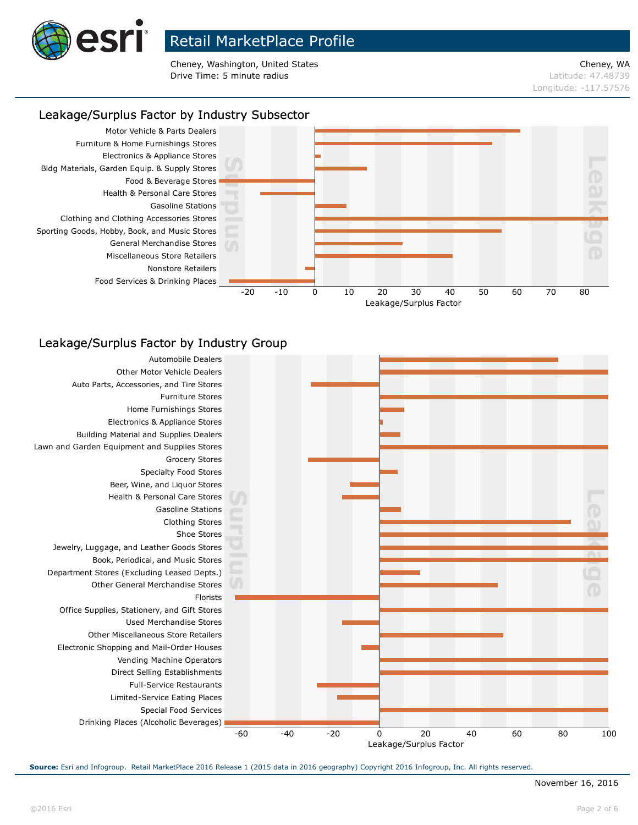

Cheney, Washington, United States Cheney, WA **Drive Time: 5 minute radius Contract Contract Contract Contract Contract Contract Contract Contract Contract Contract Contract Contract Contract Contract Contract Contract Contract Contract Contract Contract Contract Co** 

Longitude: -117.57576

### Leakage/Surplus Factor by Industry Subsector



### Leakage/Surplus Factor by Industry Group

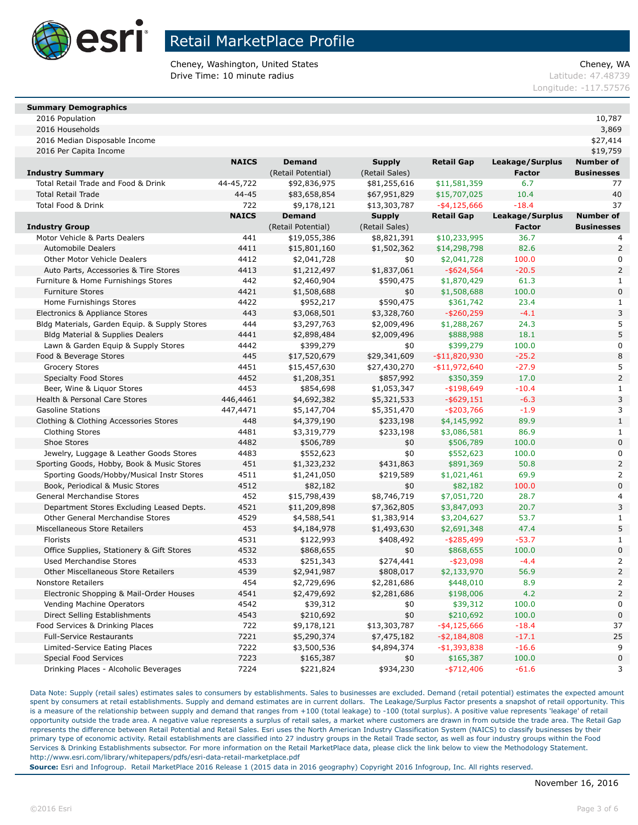

Cheney, Washington, United States Cheney, WA **Drive Time: 10 minute radius Latitude: 47.48739** 

Longitude: -117.57576

### **Summary Demographics**

2016 Population 10,787

2016 Households 3,869 2016 Median Disposable Income \$27,414

2016 Per Capita Income \$19,759

|                                               | <b>NAICS</b> | <b>Demand</b>      | <b>Supply</b>  | <b>Retail Gap</b> | Leakage/Surplus | <b>Number of</b>  |
|-----------------------------------------------|--------------|--------------------|----------------|-------------------|-----------------|-------------------|
| <b>Industry Summary</b>                       |              | (Retail Potential) | (Retail Sales) |                   | <b>Factor</b>   | <b>Businesses</b> |
| Total Retail Trade and Food & Drink           | 44-45,722    | \$92,836,975       | \$81,255,616   | \$11,581,359      | 6.7             | 77                |
| <b>Total Retail Trade</b>                     | 44-45        | \$83,658,854       | \$67,951,829   | \$15,707,025      | 10.4            | 40                |
| <b>Total Food &amp; Drink</b>                 | 722          | \$9,178,121        | \$13,303,787   | $-$ \$4,125,666   | $-18.4$         | 37                |
|                                               | <b>NAICS</b> | <b>Demand</b>      | <b>Supply</b>  | <b>Retail Gap</b> | Leakage/Surplus | <b>Number of</b>  |
| <b>Industry Group</b>                         |              | (Retail Potential) | (Retail Sales) |                   | <b>Factor</b>   | <b>Businesses</b> |
| Motor Vehicle & Parts Dealers                 | 441          | \$19,055,386       | \$8,821,391    | \$10,233,995      | 36.7            | 4                 |
| <b>Automobile Dealers</b>                     | 4411         | \$15,801,160       | \$1,502,362    | \$14,298,798      | 82.6            | $\overline{2}$    |
| <b>Other Motor Vehicle Dealers</b>            | 4412         | \$2,041,728        | \$0            | \$2,041,728       | 100.0           | $\mathbf 0$       |
| Auto Parts, Accessories & Tire Stores         | 4413         | \$1,212,497        | \$1,837,061    | $-$ \$624,564     | $-20.5$         | $\overline{2}$    |
| Furniture & Home Furnishings Stores           | 442          | \$2,460,904        | \$590,475      | \$1,870,429       | 61.3            | $\mathbf{1}$      |
| <b>Furniture Stores</b>                       | 4421         | \$1,508,688        | \$0            | \$1,508,688       | 100.0           | $\mathbf 0$       |
| Home Furnishings Stores                       | 4422         | \$952,217          | \$590,475      | \$361,742         | 23.4            | $\mathbf{1}$      |
| Electronics & Appliance Stores                | 443          | \$3,068,501        | \$3,328,760    | $-$ \$260,259     | $-4.1$          | 3                 |
| Bldg Materials, Garden Equip. & Supply Stores | 444          | \$3,297,763        | \$2,009,496    | \$1,288,267       | 24.3            | 5                 |
| Bldg Material & Supplies Dealers              | 4441         | \$2,898,484        | \$2,009,496    | \$888,988         | 18.1            | 5                 |
| Lawn & Garden Equip & Supply Stores           | 4442         | \$399,279          | \$0            | \$399,279         | 100.0           | 0                 |
| Food & Beverage Stores                        | 445          | \$17,520,679       | \$29,341,609   | $-$11,820,930$    | $-25.2$         | 8                 |
| <b>Grocery Stores</b>                         | 4451         | \$15,457,630       | \$27,430,270   | $-$11,972,640$    | $-27.9$         | 5                 |
| <b>Specialty Food Stores</b>                  | 4452         | \$1,208,351        | \$857,992      | \$350,359         | 17.0            | $\overline{2}$    |
| Beer, Wine & Liquor Stores                    | 4453         | \$854,698          | \$1,053,347    | $-$ \$198,649     | $-10.4$         | $\mathbf{1}$      |
| Health & Personal Care Stores                 | 446,4461     | \$4,692,382        | \$5,321,533    | $-$ \$629,151     | $-6.3$          | 3                 |
| <b>Gasoline Stations</b>                      | 447,4471     | \$5,147,704        | \$5,351,470    | $-$ \$203,766     | $-1.9$          | 3                 |
| Clothing & Clothing Accessories Stores        | 448          | \$4,379,190        | \$233,198      | \$4,145,992       | 89.9            | $\mathbf{1}$      |
| Clothing Stores                               | 4481         | \$3,319,779        | \$233,198      | \$3,086,581       | 86.9            | 1                 |
| Shoe Stores                                   | 4482         | \$506,789          | \$0            | \$506,789         | 100.0           | $\mathbf 0$       |
| Jewelry, Luggage & Leather Goods Stores       | 4483         | \$552,623          | \$0            | \$552,623         | 100.0           | $\mathbf 0$       |
| Sporting Goods, Hobby, Book & Music Stores    | 451          | \$1,323,232        | \$431,863      | \$891,369         | 50.8            | $\overline{2}$    |
| Sporting Goods/Hobby/Musical Instr Stores     | 4511         | \$1,241,050        | \$219,589      | \$1,021,461       | 69.9            | $\overline{2}$    |
| Book, Periodical & Music Stores               | 4512         | \$82,182           | \$0            | \$82,182          | 100.0           | $\bf 0$           |
| General Merchandise Stores                    | 452          | \$15,798,439       | \$8,746,719    | \$7,051,720       | 28.7            | $\overline{4}$    |
| Department Stores Excluding Leased Depts.     | 4521         | \$11,209,898       | \$7,362,805    | \$3,847,093       | 20.7            | 3                 |
| Other General Merchandise Stores              | 4529         | \$4,588,541        | \$1,383,914    | \$3,204,627       | 53.7            | $\mathbf 1$       |
| Miscellaneous Store Retailers                 | 453          | \$4,184,978        | \$1,493,630    | \$2,691,348       | 47.4            | 5                 |
| Florists                                      | 4531         | \$122,993          | \$408,492      | $-$ \$285,499     | $-53.7$         | $\mathbf{1}$      |
| Office Supplies, Stationery & Gift Stores     | 4532         | \$868,655          | \$0            | \$868,655         | 100.0           | $\bf 0$           |
| <b>Used Merchandise Stores</b>                | 4533         | \$251,343          | \$274,441      | $-$ \$23,098      | $-4.4$          | $\overline{2}$    |
| <b>Other Miscellaneous Store Retailers</b>    | 4539         | \$2,941,987        | \$808,017      | \$2,133,970       | 56.9            | $\overline{2}$    |
| <b>Nonstore Retailers</b>                     | 454          | \$2,729,696        | \$2,281,686    | \$448,010         | 8.9             | 2                 |
| Electronic Shopping & Mail-Order Houses       | 4541         | \$2,479,692        | \$2,281,686    | \$198,006         | 4.2             | $\overline{2}$    |
| Vending Machine Operators                     | 4542         | \$39,312           | \$0            | \$39,312          | 100.0           | $\pmb{0}$         |
| Direct Selling Establishments                 | 4543         | \$210,692          | \$0            | \$210,692         | 100.0           | $\mathbf 0$       |
| Food Services & Drinking Places               | 722          | \$9,178,121        | \$13,303,787   | $-$ \$4,125,666   | $-18.4$         | 37                |
| <b>Full-Service Restaurants</b>               | 7221         | \$5,290,374        | \$7,475,182    | $- $2,184,808$    | $-17.1$         | 25                |
| Limited-Service Eating Places                 | 7222         | \$3,500,536        | \$4,894,374    | $- $1,393,838$    | $-16.6$         | 9                 |
| <b>Special Food Services</b>                  | 7223         | \$165,387          | \$0            | \$165,387         | 100.0           | $\pmb{0}$         |
| Drinking Places - Alcoholic Beverages         | 7224         | \$221,824          | \$934,230      | $-$ \$712,406     | $-61.6$         | 3                 |

Data Note: Supply (retail sales) estimates sales to consumers by establishments. Sales to businesses are excluded. Demand (retail potential) estimates the expected amount spent by consumers at retail establishments. Supply and demand estimates are in current dollars. The Leakage/Surplus Factor presents a snapshot of retail opportunity. This is a measure of the relationship between supply and demand that ranges from +100 (total leakage) to -100 (total surplus). A positive value represents 'leakage' of retail opportunity outside the trade area. A negative value represents a surplus of retail sales, a market where customers are drawn in from outside the trade area. The Retail Gap represents the difference between Retail Potential and Retail Sales. Esri uses the North American Industry Classification System (NAICS) to classify businesses by their primary type of economic activity. Retail establishments are classified into 27 industry groups in the Retail Trade sector, as well as four industry groups within the Food Services & Drinking Establishments subsector. For more information on the Retail MarketPlace data, please click the link below to view the Methodology Statement. http://www.esri.com/library/whitepapers/pdfs/esri-data-retail-marketplace.pdf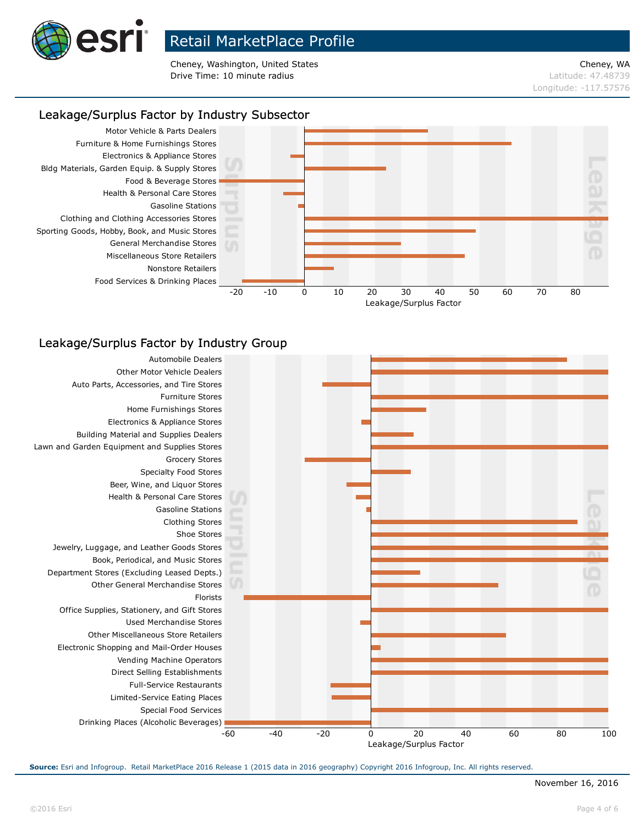

Cheney, Washington, United States Cheney, WA **Drive Time: 10 minute radius Latitude: 47.48739** 

# Longitude: -117.57576

### Leakage/Surplus Factor by Industry Subsector



### Leakage/Surplus Factor by Industry Group

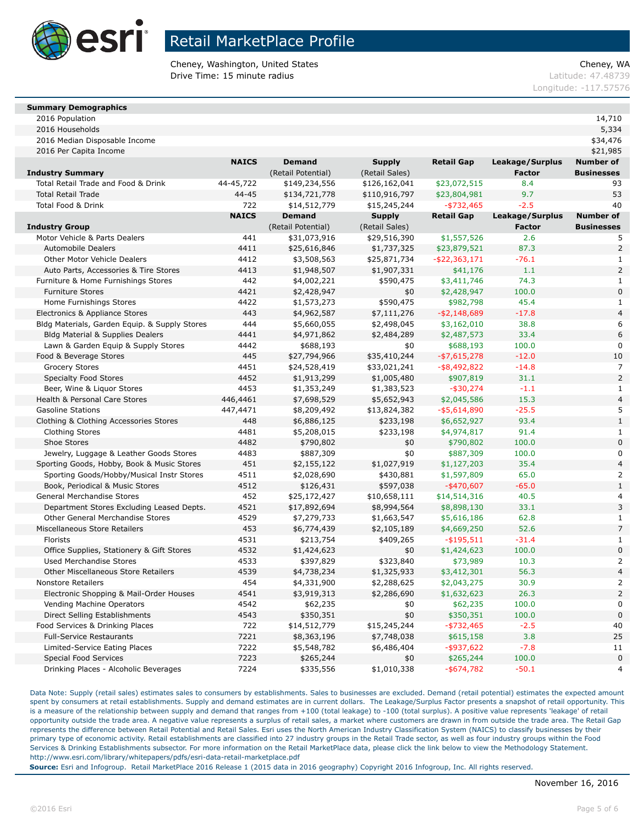

Cheney, Washington, United States Cheney, WA **Drive Time: 15 minute radius Latitude: 47.48739** 

Longitude: -117.57576

### **Summary Demographics**

2016 Population 14,710 2016 Households 5,334

| 2016 Median Disposable Income | 534,476 |
|-------------------------------|---------|

2016 Per Capita Income \$21,985

|                                               | <b>NAICS</b> | <b>Demand</b>      | <b>Supply</b>  | <b>Retail Gap</b> | Leakage/Surplus | <b>Number of</b>  |
|-----------------------------------------------|--------------|--------------------|----------------|-------------------|-----------------|-------------------|
| <b>Industry Summary</b>                       |              | (Retail Potential) | (Retail Sales) |                   | <b>Factor</b>   | <b>Businesses</b> |
| Total Retail Trade and Food & Drink           | 44-45,722    | \$149,234,556      | \$126,162,041  | \$23,072,515      | 8.4             | 93                |
| <b>Total Retail Trade</b>                     | 44-45        | \$134,721,778      | \$110,916,797  | \$23,804,981      | 9.7             | 53                |
| Total Food & Drink                            | 722          | \$14,512,779       | \$15,245,244   | $-$ \$732,465     | $-2.5$          | 40                |
|                                               | <b>NAICS</b> | <b>Demand</b>      | <b>Supply</b>  | <b>Retail Gap</b> | Leakage/Surplus | <b>Number of</b>  |
| <b>Industry Group</b>                         |              | (Retail Potential) | (Retail Sales) |                   | <b>Factor</b>   | <b>Businesses</b> |
| Motor Vehicle & Parts Dealers                 | 441          | \$31,073,916       | \$29,516,390   | \$1,557,526       | 2.6             | 5                 |
| <b>Automobile Dealers</b>                     | 4411         | \$25,616,846       | \$1,737,325    | \$23,879,521      | 87.3            | $\overline{2}$    |
| <b>Other Motor Vehicle Dealers</b>            | 4412         | \$3,508,563        | \$25,871,734   | -\$22,363,171     | $-76.1$         | $\mathbf{1}$      |
| Auto Parts, Accessories & Tire Stores         | 4413         | \$1,948,507        | \$1,907,331    | \$41,176          | 1.1             | $\overline{2}$    |
| Furniture & Home Furnishings Stores           | 442          | \$4,002,221        | \$590,475      | \$3,411,746       | 74.3            | $\mathbf{1}$      |
| <b>Furniture Stores</b>                       | 4421         | \$2,428,947        | \$0            | \$2,428,947       | 100.0           | $\boldsymbol{0}$  |
| Home Furnishings Stores                       | 4422         | \$1,573,273        | \$590,475      | \$982,798         | 45.4            | $\mathbf{1}$      |
| Electronics & Appliance Stores                | 443          | \$4,962,587        | \$7,111,276    | $- $2,148,689$    | $-17.8$         | $\overline{4}$    |
| Bldg Materials, Garden Equip. & Supply Stores | 444          | \$5,660,055        | \$2,498,045    | \$3,162,010       | 38.8            | 6                 |
| <b>Bldg Material &amp; Supplies Dealers</b>   | 4441         | \$4,971,862        | \$2,484,289    | \$2,487,573       | 33.4            | 6                 |
| Lawn & Garden Equip & Supply Stores           | 4442         | \$688,193          | \$0            | \$688,193         | 100.0           | 0                 |
| Food & Beverage Stores                        | 445          | \$27,794,966       | \$35,410,244   | $-$ \$7,615,278   | $-12.0$         | 10                |
| <b>Grocery Stores</b>                         | 4451         | \$24,528,419       | \$33,021,241   | $-$ \$8,492,822   | $-14.8$         | $\overline{7}$    |
| <b>Specialty Food Stores</b>                  | 4452         | \$1,913,299        | \$1,005,480    | \$907,819         | 31.1            | $\overline{2}$    |
| Beer, Wine & Liquor Stores                    | 4453         | \$1,353,249        | \$1,383,523    | $-$ \$30,274      | $-1.1$          | $\mathbf{1}$      |
| Health & Personal Care Stores                 | 446,4461     | \$7,698,529        | \$5,652,943    | \$2,045,586       | 15.3            | $\overline{4}$    |
| <b>Gasoline Stations</b>                      | 447,4471     | \$8,209,492        | \$13,824,382   | $-$ \$5,614,890   | $-25.5$         | 5                 |
| Clothing & Clothing Accessories Stores        | 448          | \$6,886,125        | \$233,198      | \$6,652,927       | 93.4            | $\mathbf{1}$      |
| <b>Clothing Stores</b>                        | 4481         | \$5,208,015        | \$233,198      | \$4,974,817       | 91.4            | $\mathbf{1}$      |
| Shoe Stores                                   | 4482         | \$790,802          | \$0            | \$790,802         | 100.0           | $\bf 0$           |
| Jewelry, Luggage & Leather Goods Stores       | 4483         | \$887,309          | \$0            | \$887,309         | 100.0           | $\mathbf 0$       |
| Sporting Goods, Hobby, Book & Music Stores    | 451          | \$2,155,122        | \$1,027,919    | \$1,127,203       | 35.4            | $\overline{4}$    |
| Sporting Goods/Hobby/Musical Instr Stores     | 4511         | \$2,028,690        | \$430,881      | \$1,597,809       | 65.0            | 2                 |
| Book, Periodical & Music Stores               | 4512         | \$126,431          | \$597,038      | $-$ \$470,607     | $-65.0$         | $1\,$             |
| General Merchandise Stores                    | 452          | \$25,172,427       | \$10,658,111   | \$14,514,316      | 40.5            | 4                 |
| Department Stores Excluding Leased Depts.     | 4521         | \$17,892,694       | \$8,994,564    | \$8,898,130       | 33.1            | 3                 |
| Other General Merchandise Stores              | 4529         | \$7,279,733        | \$1,663,547    | \$5,616,186       | 62.8            | $\mathbf{1}$      |
| Miscellaneous Store Retailers                 | 453          | \$6,774,439        | \$2,105,189    | \$4,669,250       | 52.6            | $\overline{7}$    |
| Florists                                      | 4531         | \$213,754          | \$409,265      | $-$ \$195,511     | $-31.4$         | $\mathbf{1}$      |
| Office Supplies, Stationery & Gift Stores     | 4532         | \$1,424,623        | \$0            | \$1,424,623       | 100.0           | $\mathbf 0$       |
| <b>Used Merchandise Stores</b>                | 4533         | \$397,829          | \$323,840      | \$73,989          | 10.3            | $\overline{2}$    |
| <b>Other Miscellaneous Store Retailers</b>    | 4539         | \$4,738,234        | \$1,325,933    | \$3,412,301       | 56.3            | $\overline{4}$    |
| <b>Nonstore Retailers</b>                     | 454          | \$4,331,900        | \$2,288,625    | \$2,043,275       | 30.9            | $\overline{2}$    |
| Electronic Shopping & Mail-Order Houses       | 4541         | \$3,919,313        | \$2,286,690    | \$1,632,623       | 26.3            | $\mathsf{2}$      |
| Vending Machine Operators                     | 4542         | \$62,235           | \$0            | \$62,235          | 100.0           | $\mathbf 0$       |
| Direct Selling Establishments                 | 4543         | \$350,351          | \$0            | \$350,351         | 100.0           | $\bf 0$           |
| Food Services & Drinking Places               | 722          | \$14,512,779       | \$15,245,244   | $-$ \$732,465     | $-2.5$          | 40                |
| <b>Full-Service Restaurants</b>               | 7221         | \$8,363,196        | \$7,748,038    | \$615,158         | 3.8             | 25                |
| Limited-Service Eating Places                 | 7222         | \$5,548,782        | \$6,486,404    | $-$ \$937,622     | $-7.8$          | 11                |
| <b>Special Food Services</b>                  | 7223         | \$265,244          | \$0            | \$265,244         | 100.0           | $\boldsymbol{0}$  |
| Drinking Places - Alcoholic Beverages         | 7224         | \$335,556          | \$1,010,338    | $-$ \$674,782     | $-50.1$         | $\overline{4}$    |

Data Note: Supply (retail sales) estimates sales to consumers by establishments. Sales to businesses are excluded. Demand (retail potential) estimates the expected amount spent by consumers at retail establishments. Supply and demand estimates are in current dollars. The Leakage/Surplus Factor presents a snapshot of retail opportunity. This is a measure of the relationship between supply and demand that ranges from +100 (total leakage) to -100 (total surplus). A positive value represents 'leakage' of retail opportunity outside the trade area. A negative value represents a surplus of retail sales, a market where customers are drawn in from outside the trade area. The Retail Gap represents the difference between Retail Potential and Retail Sales. Esri uses the North American Industry Classification System (NAICS) to classify businesses by their primary type of economic activity. Retail establishments are classified into 27 industry groups in the Retail Trade sector, as well as four industry groups within the Food Services & Drinking Establishments subsector. For more information on the Retail MarketPlace data, please click the link below to view the Methodology Statement. http://www.esri.com/library/whitepapers/pdfs/esri-data-retail-marketplace.pdf